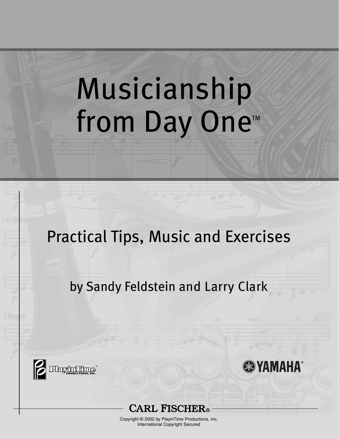# Musicianship from Day One<sup>™</sup>

# Practical Tips, Music and Exercises

# by Sandy Feldstein and Larry Clark





Copyright © 2002 by PlayinTime Productions, Inc. International Copyright Secured

**BEYAMAHA**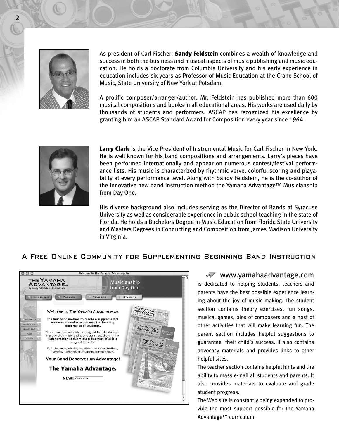

As president of Carl Fischer, **Sandy Feldstein** combines a wealth of knowledge and success in both the business and musical aspects of music publishing and music education. He holds a doctorate from Columbia University and his early experience in education includes six years as Professor of Music Education at the Crane School of Music, State University of New York at Potsdam.

A prolific composer/arranger/author, Mr. Feldstein has published more than 600 musical compositions and books in all educational areas. His works are used daily by thousands of students and performers. ASCAP has recognized his excellence by granting him an ASCAP Standard Award for Composition every year since 1964.



Larry Clark is the Vice President of Instrumental Music for Carl Fischer in New York. He is well known for his band compositions and arrangements. Larry's pieces have been performed internationally and appear on numerous contest/festival performance lists. His music is characterized by rhythmic verve, colorful scoring and playability at every performance level. Along with Sandy Feldstein, he is the co-author of the innovative new band instruction method the Yamaha Advantage™ Musicianship from Day One.

His diverse background also includes serving as the Director of Bands at Syracuse University as well as considerable experience in public school teaching in the state of Florida. He holds a Bachelors Degree in Music Education from Florida State University and Masters Degrees in Conducting and Composition from James Madison University in Virginia.

#### A Free Online Community for Supplementing Beginning Band Instruction



#### www.yamahaadvantage.com

is dedicated to helping students, teachers and parents have the best possible experience learning about the joy of music making. The student section contains theory exercises, fun songs, musical games, bios of composers and a host of other activities that will make learning fun. The parent section includes helpful suggestions to guarantee their child's success. It also contains advocacy materials and provides links to other helpful sites.

The teacher section contains helpful hints and the ability to mass e-mail all students and parents. It also provides materials to evaluate and grade student progress.

The Web site is constantly being expanded to provide the most support possible for the Yamaha Advantage™ curriculum.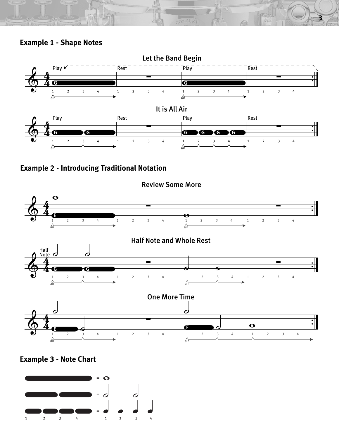



CONCERT

**3**







Review Some More

**Example 3 - Note Chart**

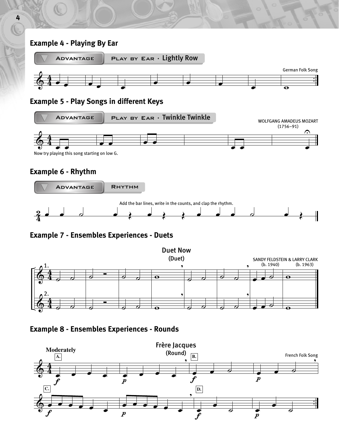# **Example 4 - Playing By Ear**



#### **Example 5 - Play Songs in different Keys**



# **Example 6 - Rhythm**



# **Example 7 - Ensembles Experiences - Duets**



**Example 8 - Ensembles Experiences - Rounds**

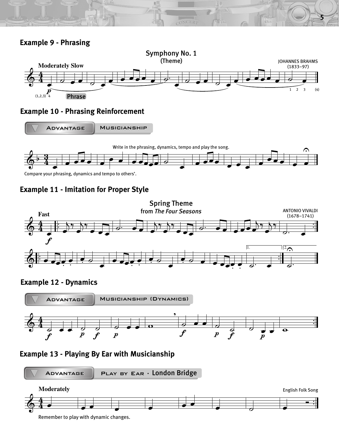



ONCER?

**5**

# **Example 10 - Phrasing Reinforcement**



Compare your phrasing, dynamics and tempo to others'.





**Example 12 - Dynamics**



# **Example 13 - Playing By Ear with Musicianship**



Remember to play with dynamic changes.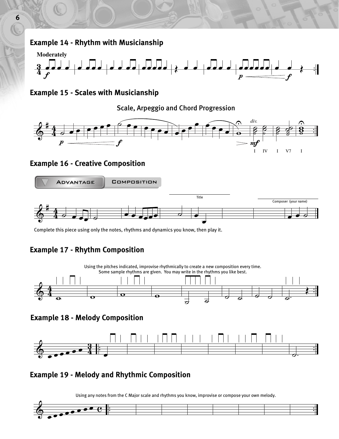# **Example 14 - Rhythm with Musicianship**



**Example 15 - Scales with Musicianship**

Scale, Arpeggio and Chord Progression



# **Example 16 - Creative Composition**



Complete this piece using only the notes, rhythms and dynamics you know, then play it.

# **Example 17 - Rhythm Composition**



**Example 18 - Melody Composition**



# **Example 19 - Melody and Rhythmic Composition**

Using any notes from the C Major scale and rhythms you know, improvise or compose your own melody.

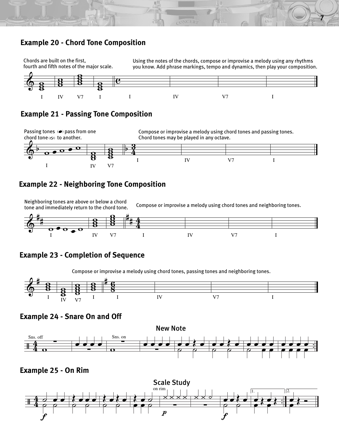# **Example 20 - Chord Tone Composition**



ONCER

**Example 21 - Passing Tone Composition**



## **Example 22 - Neighboring Tone Composition**

Neighboring tones are above or below a chord<br>tone and immediately return to the chord tone<br>

**7**



# **Example 23 - Completion of Sequence**

Compose or improvise a melody using chord tones, passing tones and neighboring tones.



**Example 24 - Snare On and Off**



**Example 25 - On Rim**